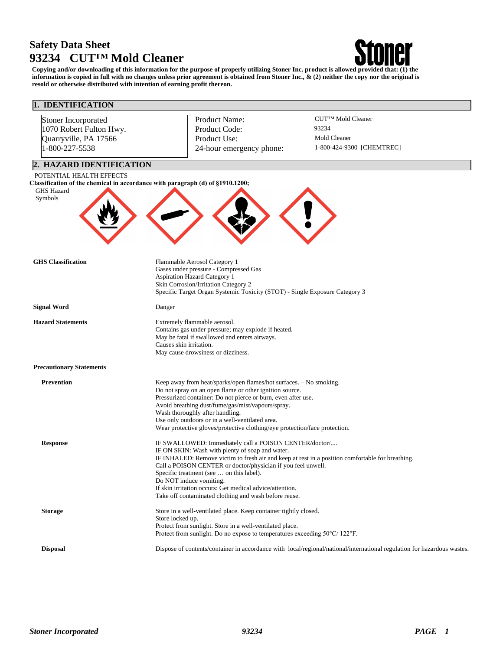# **Safety Data Sheet 93234 CUT™ Mold Cleaner**



**Copying and/or downloading of this information for the purpose of properly utilizing Stoner Inc. product is allowed provided that: (1) the information is copied in full with no changes unless prior agreement is obtained from Stoner Inc., & (2) neither the copy nor the original is resold or otherwise distributed with intention of earning profit thereon.**

| 1. IDENTIFICATION                                                                         |                                                                                                                                                                                                                                                                                                                                                                                                                                                                           |                                                                                                                         |  |  |
|-------------------------------------------------------------------------------------------|---------------------------------------------------------------------------------------------------------------------------------------------------------------------------------------------------------------------------------------------------------------------------------------------------------------------------------------------------------------------------------------------------------------------------------------------------------------------------|-------------------------------------------------------------------------------------------------------------------------|--|--|
| Stoner Incorporated<br>1070 Robert Fulton Hwy.<br>Quarryville, PA 17566<br>1-800-227-5538 | Product Name:<br>Product Code:<br>Product Use:<br>24-hour emergency phone:                                                                                                                                                                                                                                                                                                                                                                                                | CUT™ Mold Cleaner<br>93234<br>Mold Cleaner<br>1-800-424-9300 [CHEMTREC]                                                 |  |  |
| 2. HAZARD IDENTIFICATION                                                                  |                                                                                                                                                                                                                                                                                                                                                                                                                                                                           |                                                                                                                         |  |  |
| POTENTIAL HEALTH EFFECTS<br><b>GHS Hazard</b><br>Symbols                                  | Classification of the chemical in accordance with paragraph (d) of §1910.1200;                                                                                                                                                                                                                                                                                                                                                                                            |                                                                                                                         |  |  |
| <b>GHS</b> Classification                                                                 | Flammable Aerosol Category 1<br>Gases under pressure - Compressed Gas<br><b>Aspiration Hazard Category 1</b><br>Skin Corrosion/Irritation Category 2<br>Specific Target Organ Systemic Toxicity (STOT) - Single Exposure Category 3                                                                                                                                                                                                                                       |                                                                                                                         |  |  |
| <b>Signal Word</b>                                                                        | Danger                                                                                                                                                                                                                                                                                                                                                                                                                                                                    |                                                                                                                         |  |  |
| <b>Hazard Statements</b>                                                                  | Extremely flammable aerosol.<br>Contains gas under pressure; may explode if heated.<br>May be fatal if swallowed and enters airways.<br>Causes skin irritation.<br>May cause drowsiness or dizziness.                                                                                                                                                                                                                                                                     |                                                                                                                         |  |  |
| <b>Precautionary Statements</b>                                                           |                                                                                                                                                                                                                                                                                                                                                                                                                                                                           |                                                                                                                         |  |  |
| <b>Prevention</b>                                                                         | Keep away from heat/sparks/open flames/hot surfaces. - No smoking.<br>Do not spray on an open flame or other ignition source.<br>Pressurized container: Do not pierce or burn, even after use.<br>Avoid breathing dust/fume/gas/mist/vapours/spray.<br>Wash thoroughly after handling.<br>Use only outdoors or in a well-ventilated area.<br>Wear protective gloves/protective clothing/eye protection/face protection.                                                   |                                                                                                                         |  |  |
| <b>Response</b>                                                                           | IF SWALLOWED: Immediately call a POISON CENTER/doctor/<br>IF ON SKIN: Wash with plenty of soap and water.<br>IF INHALED: Remove victim to fresh air and keep at rest in a position comfortable for breathing.<br>Call a POISON CENTER or doctor/physician if you feel unwell.<br>Specific treatment (see  on this label).<br>Do NOT induce vomiting.<br>If skin irritation occurs: Get medical advice/attention.<br>Take off contaminated clothing and wash before reuse. |                                                                                                                         |  |  |
| <b>Storage</b>                                                                            | Store in a well-ventilated place. Keep container tightly closed.<br>Store locked up.<br>Protect from sunlight. Store in a well-ventilated place.<br>Protect from sunlight. Do no expose to temperatures exceeding 50°C/ 122°F.                                                                                                                                                                                                                                            |                                                                                                                         |  |  |
| <b>Disposal</b>                                                                           |                                                                                                                                                                                                                                                                                                                                                                                                                                                                           | Dispose of contents/container in accordance with local/regional/national/international regulation for hazardous wastes. |  |  |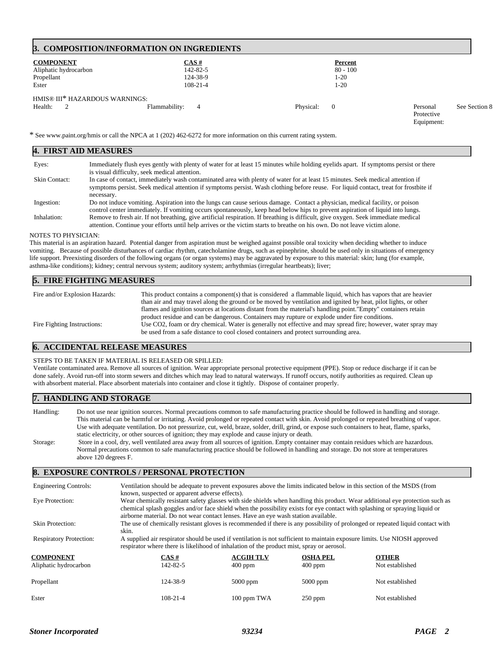### **3. COMPOSITION/INFORMATION ON INGREDIENTS**

| <b>COMPONENT</b><br>Aliphatic hydrocarbon<br>Propellant<br>Ester | CAS#<br>142-82-5<br>124-38-9<br>$108 - 21 - 4$ | Percent<br>$80 - 100$<br>$1-20$<br>$1-20$ |            |               |
|------------------------------------------------------------------|------------------------------------------------|-------------------------------------------|------------|---------------|
| HMIS® III* HAZARDOUS WARNINGS:                                   | Flammability:                                  | Physical:                                 | Personal   | See Section 8 |
| Health:                                                          | 4                                              | $\Omega$                                  | Protective |               |

\* See www.paint.org/hmis or call the NPCA at 1 (202) 462-6272 for more information on this current rating system.

| 4. FIRST AID MEASURES |                                                                                                                                                                                                                                                                                      |  |  |  |
|-----------------------|--------------------------------------------------------------------------------------------------------------------------------------------------------------------------------------------------------------------------------------------------------------------------------------|--|--|--|
| Eyes:                 | Immediately flush eyes gently with plenty of water for at least 15 minutes while holding eyelids apart. If symptoms persist or there<br>is visual difficulty, seek medical attention.                                                                                                |  |  |  |
| Skin Contact:         | In case of contact, immediately wash contaminated area with plenty of water for at least 15 minutes. Seek medical attention if<br>symptoms persist. Seek medical attention if symptoms persist. Wash clothing before reuse. For liquid contact, treat for frostbite if<br>necessary. |  |  |  |
| Ingestion:            | Do not induce vomiting. Aspiration into the lungs can cause serious damage. Contact a physician, medical facility, or poison<br>control center immediately. If vomiting occurs spontaneously, keep head below hips to prevent aspiration of liquid into lungs.                       |  |  |  |
| Inhalation:           | Remove to fresh air. If not breathing, give artificial respiration. If breathing is difficult, give oxygen. Seek immediate medical<br>attention. Continue your efforts until help arrives or the victim starts to breathe on his own. Do not leave victim alone.                     |  |  |  |

#### NOTES TO PHYSICIAN:

This material is an aspiration hazard. Potential danger from aspiration must be weighed against possible oral toxicity when deciding whether to induce vomiting. Because of possible disturbances of cardiac rhythm, catecholamine drugs, such as epinephrine, should be used only in situations of emergency life support. Preexisting disorders of the following organs (or organ systems) may be aggravated by exposure to this material: skin; lung (for example, asthma-like conditions); kidney; central nervous system; auditory system; arrhythmias (irregular heartbeats); liver;

#### **5. FIRE FIGHTING MEASURES**

| Fire and/or Explosion Hazards: | This product contains a component(s) that is considered a flammable liquid, which has vapors that are heavier   |
|--------------------------------|-----------------------------------------------------------------------------------------------------------------|
|                                | than air and may travel along the ground or be moved by ventilation and ignited by heat, pilot lights, or other |
|                                | flames and ignition sources at locations distant from the material's handling point."Empty" containers retain   |
|                                | product residue and can be dangerous. Containers may rupture or explode under fire conditions.                  |
| Fire Fighting Instructions:    | Use CO2, foam or dry chemical. Water is generally not effective and may spread fire; however, water spray may   |
|                                | be used from a safe distance to cool closed containers and protect surrounding area.                            |

# **6. ACCIDENTAL RELEASE MEASURES**

#### STEPS TO BE TAKEN IF MATERIAL IS RELEASED OR SPILLED:

Ventilate contaminated area. Remove all sources of ignition. Wear appropriate personal protective equipment (PPE). Stop or reduce discharge if it can be done safely. Avoid run-off into storm sewers and ditches which may lead to natural waterways. If runoff occurs, notify authorities as required. Clean up with absorbent material. Place absorbent materials into container and close it tightly. Dispose of container properly.

#### **7. HANDLING AND STORAGE**

Handling: Do not use near ignition sources. Normal precautions common to safe manufacturing practice should be followed in handling and storage. This material can be harmful or irritating. Avoid prolonged or repeated contact with skin. Avoid prolonged or repeated breathing of vapor. Use with adequate ventilation. Do not pressurize, cut, weld, braze, solder, drill, grind, or expose such containers to heat, flame, sparks, static electricity, or other sources of ignition; they may explode and cause injury or death. Storage: Store in a cool, dry, well ventilated area away from all sources of ignition. Empty container may contain residues which are hazardous. Normal precautions common to safe manufacturing practice should be followed in handling and storage. Do not store at temperatures above 120 degrees F.

#### **8. EXPOSURE CONTROLS / PERSONAL PROTECTION**

| <b>Engineering Controls:</b>   | Ventilation should be adequate to prevent exposures above the limits indicated below in this section of the MSDS (from<br>known, suspected or apparent adverse effects).                                                                                                                                                                           |                                                                                                                                |                 |                 |  |  |
|--------------------------------|----------------------------------------------------------------------------------------------------------------------------------------------------------------------------------------------------------------------------------------------------------------------------------------------------------------------------------------------------|--------------------------------------------------------------------------------------------------------------------------------|-----------------|-----------------|--|--|
| Eye Protection:                | Wear chemically resistant safety glasses with side shields when handling this product. Wear additional eye protection such as<br>chemical splash goggles and/or face shield when the possibility exists for eye contact with splashing or spraying liquid or<br>airborne material. Do not wear contact lenses. Have an eye wash station available. |                                                                                                                                |                 |                 |  |  |
| <b>Skin Protection:</b>        | skin.                                                                                                                                                                                                                                                                                                                                              | The use of chemically resistant gloves is recommended if there is any possibility of prolonged or repeated liquid contact with |                 |                 |  |  |
| <b>Respiratory Protection:</b> | A supplied air respirator should be used if ventilation is not sufficient to maintain exposure limits. Use NIOSH approved<br>respirator where there is likelihood of inhalation of the product mist, spray or aerosol.                                                                                                                             |                                                                                                                                |                 |                 |  |  |
| <b>COMPONENT</b>               | $CAS \#$                                                                                                                                                                                                                                                                                                                                           | <b>ACGIH TLV</b>                                                                                                               | <b>OSHA PEL</b> | <b>OTHER</b>    |  |  |
| Aliphatic hydrocarbon          | $142 - 82 - 5$                                                                                                                                                                                                                                                                                                                                     | $400$ ppm                                                                                                                      | $400$ ppm       | Not established |  |  |
| Propellant                     | 124-38-9                                                                                                                                                                                                                                                                                                                                           | $5000$ ppm                                                                                                                     | $5000$ ppm      | Not established |  |  |
| Ester                          | $108 - 21 - 4$                                                                                                                                                                                                                                                                                                                                     | 100 ppm TWA                                                                                                                    | $250$ ppm       | Not established |  |  |

Equipment: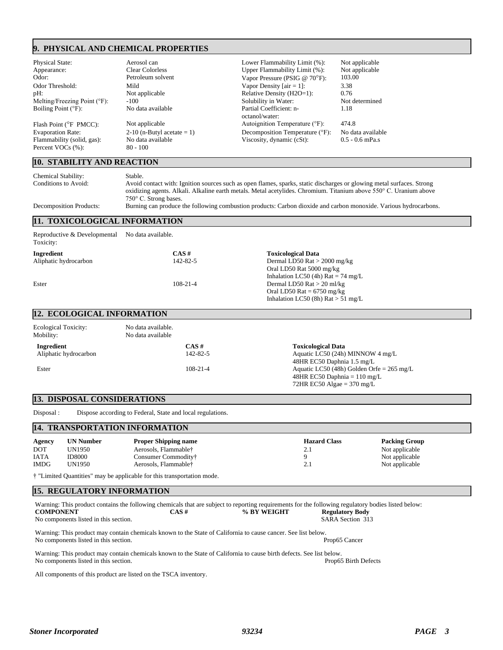## **9. PHYSICAL AND CHEMICAL PROPERTIES**

| Physical State:                                 | Aerosol can                     | Lower Flammability Limit (%):             | Not applicable    |
|-------------------------------------------------|---------------------------------|-------------------------------------------|-------------------|
| Appearance:                                     | <b>Clear Colorless</b>          | Upper Flammability Limit (%):             | Not applicable    |
| Odor:                                           | Petroleum solvent               | Vapor Pressure (PSIG @ $70^{\circ}$ F):   | 103.00            |
| Odor Threshold:                                 | Mild                            | Vapor Density [ $air = 1$ ]:              | 3.38              |
| pH:                                             | Not applicable                  | Relative Density (H2O=1):                 | 0.76              |
| Melting/Freezing Point $(°F)$ :                 | $-100$                          | Solubility in Water:                      | Not determined    |
| Boiling Point $(°F)$ :                          | No data available               | Partial Coefficient: n-<br>octanol/water: | 1.18              |
| Flash Point (°F PMCC):                          | Not applicable                  | Autoignition Temperature (°F):            | 474.8             |
| <b>Evaporation Rate:</b>                        | $2-10$ (n-Butyl acetate = 1)    | Decomposition Temperature (°F):           | No data available |
| Flammability (solid, gas):<br>Percent VOCs (%): | No data available<br>$80 - 100$ | Viscosity, dynamic (cSt):                 | $0.5 - 0.6$ mPa.s |
|                                                 |                                 |                                           |                   |

# **10. STABILITY AND REACTION**

| Chemical Stability:<br>Conditions to Avoid: | Stable.<br>Avoid contact with: Ignition sources such as open flames, sparks, static discharges or glowing metal surfaces. Strong<br>oxidizing agents. Alkali. Alkaline earth metals. Metal acetylides. Chromium. Titanium above 550°C. Uranium above<br>$750^{\circ}$ C. Strong bases. |
|---------------------------------------------|----------------------------------------------------------------------------------------------------------------------------------------------------------------------------------------------------------------------------------------------------------------------------------------|
| <b>Decomposition Products:</b>              | Burning can produce the following combustion products: Carbon dioxide and carbon monoxide. Various hydrocarbons.                                                                                                                                                                       |

### **11. TOXICOLOGICAL INFORMATION**

| Reproductive & Developmental<br>Toxicity: | No data available. |                                                     |  |
|-------------------------------------------|--------------------|-----------------------------------------------------|--|
| Ingredient                                | $CAS \#$           | <b>Toxicological Data</b>                           |  |
| Aliphatic hydrocarbon                     | 142-82-5           | Dermal LD50 Rat $>$ 2000 mg/kg                      |  |
|                                           |                    | Oral LD50 Rat 5000 mg/kg                            |  |
|                                           |                    | Inhalation LC50 (4h) Rat = 74 mg/L                  |  |
| Ester                                     | $108 - 21 - 4$     | Dermal LD50 Rat $> 20$ ml/kg                        |  |
|                                           |                    | Oral LD50 Rat = $6750$ mg/kg                        |  |
|                                           |                    | Inhalation LC50 (8h) $\text{Rat} > 51 \text{ mg/L}$ |  |

# **12. ECOLOGICAL INFORMATION**

| <b>Ecological Toxicity:</b><br>Mobility: | No data available.<br>No data available |                |                                                     |
|------------------------------------------|-----------------------------------------|----------------|-----------------------------------------------------|
| Ingredient                               |                                         | $CAS \#$       | <b>Toxicological Data</b>                           |
| Aliphatic hydrocarbon                    |                                         | 142-82-5       | Aquatic LC50 (24h) MINNOW 4 mg/L                    |
|                                          |                                         |                | 48HR EC50 Daphnia 1.5 mg/L                          |
| Ester                                    |                                         | $108 - 21 - 4$ | Aquatic LC50 (48h) Golden Orfe = $265 \text{ mg/L}$ |
|                                          |                                         |                | 48HR EC50 Daphnia $= 110$ mg/L                      |
|                                          |                                         |                | 72HR EC50 Algae = $370 \text{ mg/L}$                |

#### **13. DISPOSAL CONSIDERATIONS**

Disposal : Dispose according to Federal, State and local regulations.

## **14. TRANSPORTATION INFORMATION**

| Agency      | <b>UN Number</b> | <b>Proper Shipping name</b> | <b>Hazard Class</b> | <b>Packing Group</b> |
|-------------|------------------|-----------------------------|---------------------|----------------------|
| DOT         | UN1950           | Aerosols, Flammable†        | 2.1                 | Not applicable       |
| <b>IATA</b> | <b>ID8000</b>    | Consumer Commodity†         |                     | Not applicable       |
| IMDG        | UN1950           | Aerosols, Flammable†        | 2.1                 | Not applicable       |

† "Limited Quantities" may be applicable for this transportation mode.

### **15. REGULATORY INFORMATION**

| Warning: This product contains the following chemicals that are subject to reporting requirements for the following regulatory bodies listed below: |          |             |                        |  |
|-----------------------------------------------------------------------------------------------------------------------------------------------------|----------|-------------|------------------------|--|
| <b>COMPONENT</b>                                                                                                                                    | $CAS \#$ | % BY WEIGHT | <b>Regulatory Body</b> |  |
| No components listed in this section.                                                                                                               |          |             | SARA Section 313       |  |

Warning: This product may contain chemicals known to the State of California to cause cancer. See list below.<br>No components listed in this section. Prop65 Cancer No components listed in this section.

Warning: This product may contain chemicals known to the State of California to cause birth defects. See list below.<br>No components listed in this section.<br> No components listed in this section.

All components of this product are listed on the TSCA inventory.